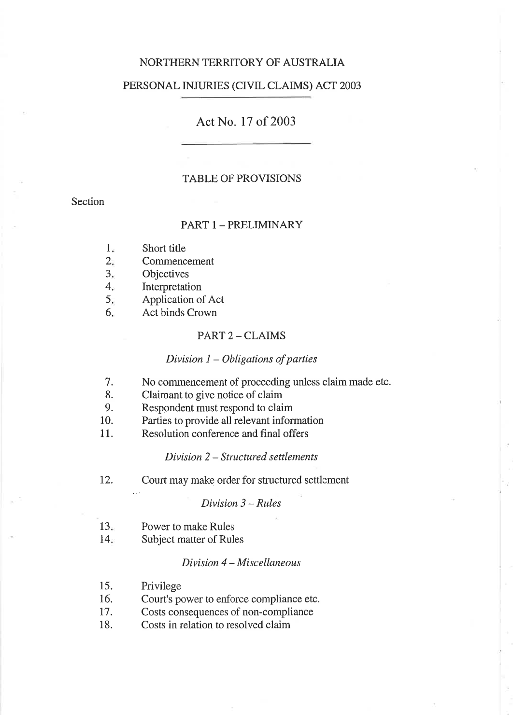# NORTHERN TERRITORY OF AUSTRALIA

# PERSONAL INJURIES (CIVIL CLAIMS) ACT 2003

# Act No. 17 of 2003

# TABLE OF PROVISIONS

# Section

# PART 1 - PRELIMINARY

- Short title  $1.$
- Commencement  $2.$
- **Objectives**  $3.$
- Interpretation  $4.$
- Application of Act 5
- Act binds Crown 6

## PART 2 - CLAIMS

# Division  $1 - Obligations$  of parties

- No commencement of proceeding unless claim made etc. 7.
- Claimant to give notice of claim 8.
- Respondent must respond to claim 9.
- Parties to provide all relevant information 10.
- Resolution conference and final offers 11.

#### Division 2 - Structured settlements

12. Court may make order for structured settlement

# $Division 3 - Rules$

- $13<sub>n</sub>$ Power to make Rules
- 14 Subject matter of Rules

# Division 4 - Miscellaneous

- 15. Privilege
- 16. Court's power to enforce compliance etc.
- 17. Costs consequences of non-compliance
- 18. Costs in relation to resolved claim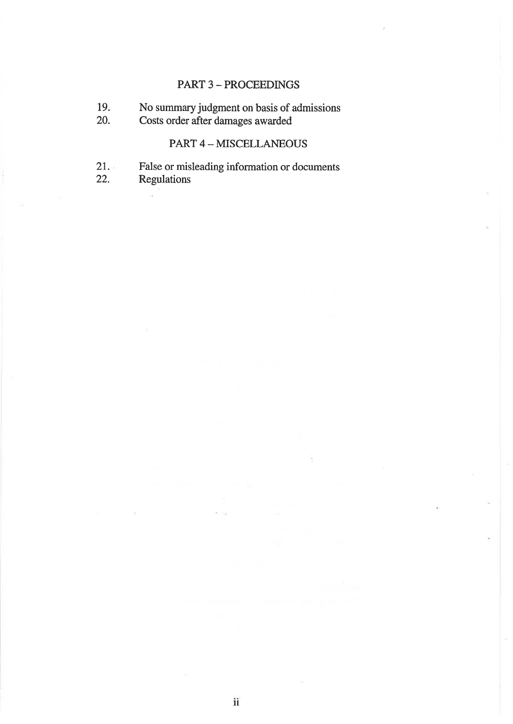# PART 3 - PROCEEDINGS

- 19. No summary judgment on basis of admissions
- 20. Costs order after damages awa¡ded

# PART 4 - MISCELLANEOUS

- False or misleading information or documents  $21.$
- Regulations 22.

 $\alpha$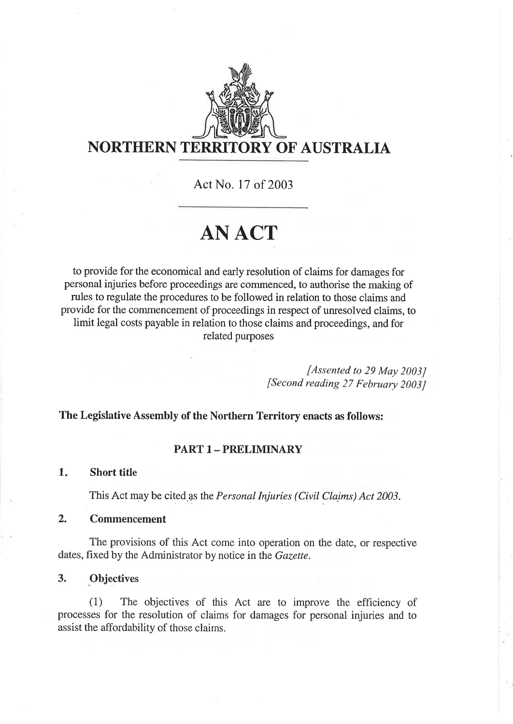

# NORTHERN TERRITORY OF AUSTRALIA

Act No. I7 of 2003

# ANACT

to provide for the economical and early resolution of claims for damages for personal injuries before proceedings are commenced, to authorise the making of rules to regulate the procedures to be followed in relation to those claims and provide for the cornmencement of proceedings in respect of unresolved claims, to limit legal costs payable in relation to those claims and proceedings, and for related purposes

> [Assented to 29 May 2003J [Second reading 27 February 2003J

# The Legislative Assembly of the Northern Territory enacts as follows:

# PART 1 - PRELIMINARY

#### Short title 1

This Act may be cited as the Personal Injuries (Civil Claims) Act 2003.

#### Commencement 2.

The provisions of this Act come into operation on the date, or respective dates, fixed by the Administrator by notice in the *Gazette*.

# 3. Objectives

(1) The objectives of this Act are to improve the efficiency of processes for the resolution of claims for damages for personal injuries and to assist the affordability of those claims.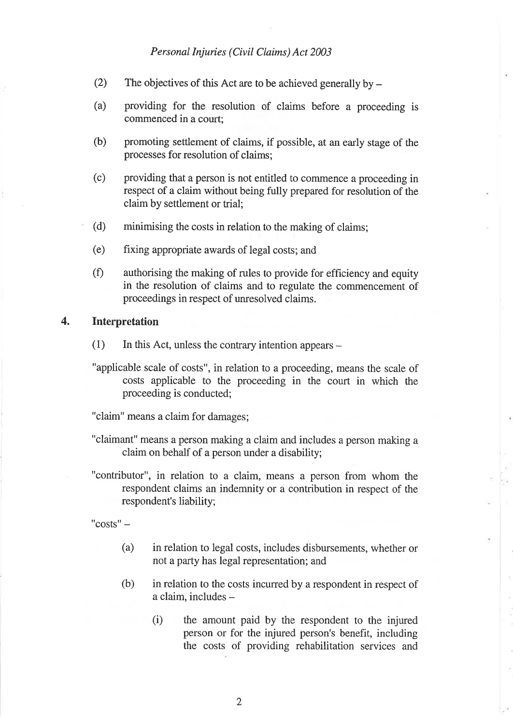- (2) The objectives of this Act are to be achieved generally by  $-$
- (a) providing for the resolution of claims before a proceeding is commenced in a court:
- (b) promoting settlement of claims, if possible, at an early stage of the processes for resolution of claims;
- (c) providing that a person is not entitled to commence a proceeding in respect of a claim without being fully prepared for resolution of the claim by settlement or trial;
- (d) minimising the costs in relation to the making of claims;
- (e) fixing appropriate awards of legal costs; and
- (Ð authorising the making of rules to provide for efficiency and equity in the resolution of claims and to regulate the commencement of proceedings in respect of unresolved claims.

# 4. Interpretation

- $(1)$  In this Act, unless the contrary intention appears -
- "applicable scale of costs", in relation to a proceeding, means the scale of costs applicable to the proceeding in the court in which the proceeding is conducted;

"claim" means a claim for damages;

- "claimant" means a person making a claim and includes a person making a claim on behalf of a person under a disability;
- "contributor", in relation to a claim, means a person from whom the respondent claims an indemnity or a contribution in respect of the respondent's liability;

 $"costs" -$ 

- (a) in relation to legal costs, includes disbursements, whether or not a party has legal representation; and
- (b) in relation to the costs incurred by a respondent in respect of a claim, includes
	- the amount paid by the respondent to the injured person or for the injured person's benefit, including the costs of providing rehabilitation services and  $(i)$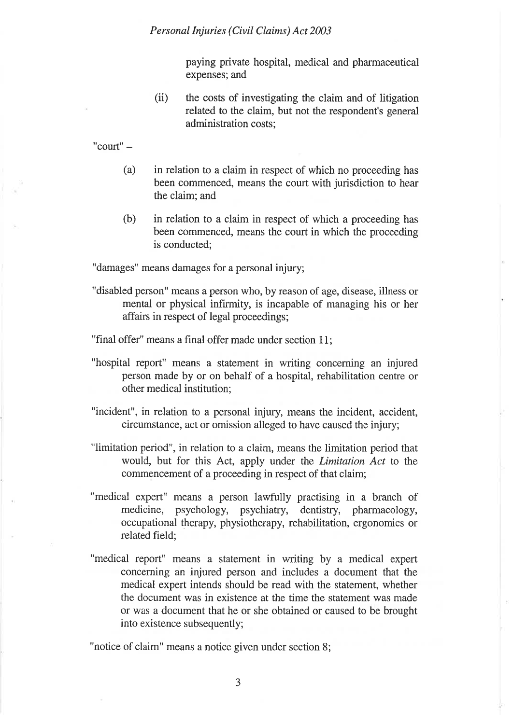paying private hospital, medical and pharmaceutical expenses; and

(ii) the costs of investigating the claim and of litigation related to the claim, but not the respondent's general administration costs;

 $"$ court $"$  –

- (a) in relation to a claim in respect of which no proceeding has been commenced, means the court with jurisdiction to hear the claim; and
- (b) in relation to a claim in respect of which a proceeding has been commenced, means the court in which the proceeding is conducted;

"damages" means damages for a personal injury;

"disabled person" means a person who, by reason of age, disease, illness or mental or physical infirmity, is incapable of managing his or her affairs in respect of legal proceedings;

"final offer" means a final offer made under section 11;

- "hospital report" means a statement in writing concerning an injured person made by or on behalf of a hospital, rehabilitation centre or other medical institution;
- "incident", in relation to a personal injury, means the incident, accident, circumstance, act or omission alleged to have caused the injury;
- "limitation period", in relation to a claim, means the limitation period that would, but for this Act, apply under the Limitation Act to the commencement of a proceeding in respect of that claim;
- "medical expert" means a person lawfully practising in a branch of medicine, psychology, psychiatry, dentistry, pharmacology, occupational therapy, physiotherapy, rehabilitation, ergonomics or related field;
- "medical report" means a statement in writing by a medical expert concerning an injured person and includes a document that the medical expert intends should be read with the statement, whether the document was in existence at the time the statement was made or was a document that he or she obtained or caused to be brought into existence subsequently;

"notice of claim" means a notice given under section 8;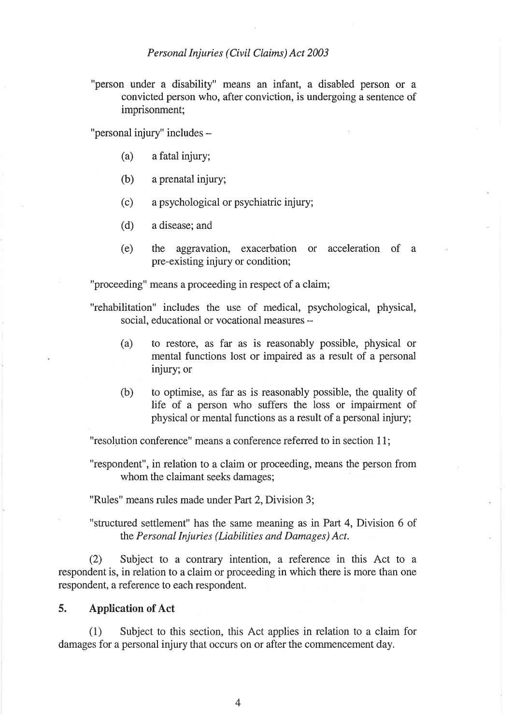"person under a disability" means an infant, a disabled person or <sup>a</sup> convicted person who, after conviction, is undergoing a sentence of imprisonment;

"personal injury" includes -

- (a) afatal injury;
- (b) aprenatal injury;
- (c) a psychological or psychiatric injury;
- (d) a disease; and
- (e) the aggravation, exacerbation or acceleration of <sup>a</sup> pre-existing injury or condition;

"proceeding" means a proceeding in respect of a claim;

"rehabilitation" includes the use of medical, psychological, physical, social, educational or vocational measures --

- (a) to restore, as far as is reasonably possible, physical or mental functions lost or impaired as a result of a personal injury; or
- (b) to optimise, as far as is reasonably possible, the quality of life of a person who suffers the loss or impairment of physical or mental functions as a result of a personal injury;

"resolution conference" means a conference referred to in section 1 1;

"respondent", in relation to a claim or proceeding, means the person from whom the claimant seeks damages;

"Rules" means rules made under Part 2, Division 3;

"structured settlement" has the same meaning as in Part 4, Division 6 of the Personal Injuries (Liabilities and Damages) Act.

(2) Subject to a contrary intention, a reference in this Act to a respondent is, in relation to a claim or proceeding in which there is more than one respondent, a reference to each respondent.

# 5. Application of Act

(1) Subject to this section, this Act applies in relation to a claim for damages for a personal injury that occurs on or after the commencement day.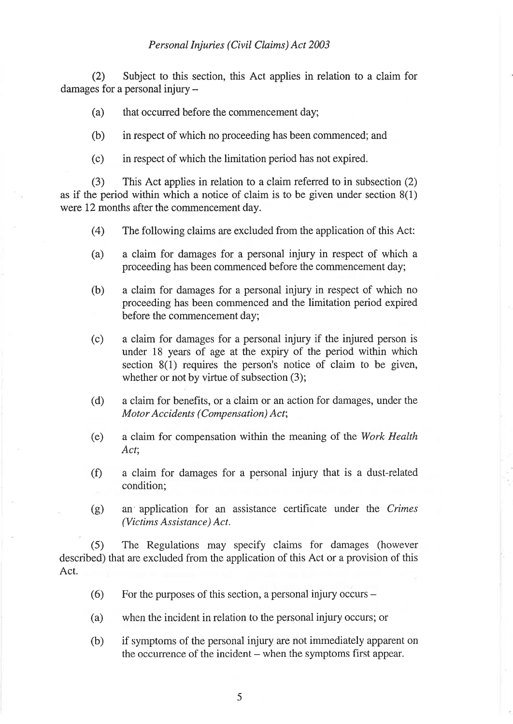(2) Subject to this section, this Act applies in relation to a claim for damages for a personal injury -

(a) that occurred before the commencement day;

(b) in respect of which no proceeding has been commenced; and

(c) in respect of which the limitation period has not expired.

(3) This Act applies in relation to a claim referred to in subsection (2) as if the period within which a notice of claim is to be given under section 8(1) were 12 months after the commencement day.

- (4) The following claims are excluded from the application of this Act:
- (a) a claim for damages for a personal injury in respect of which <sup>a</sup> proceeding has been commenced before the commencement day;
- (b) a claim for damages for a personal injury in respect of which no proceeding has been commenced and the limitation period expired before the commencement day;
- (c) a claim for damages for a personal injury if the injured person is under 18 years of age at the expiry of the period within which section 8(1) requires the person's notice of claim to be given, whether or not by virtue of subsection  $(3)$ ;
- (d) a claim for benefits, or a claim or an action for damages, under the Motor Accidents (Compensation) Act;
- (e) a claim for compensation within the meaning of the Work Health Act;
- (Ð a claim for damages for a personal injury that is a dust-related condition;
- (g) an' application for an assistance certificate under the Crimes (Victims Assistance) Act.

(5) The Regulations may specify claims for damages (however described) that are excluded from the application of this Act or a provision of this Act.

- (6) For the purposes of this section, a personal injury occurs  $-$
- (a) when the incident in relation to the personal injury occurs; or
- (b) if symptoms of the personal injury are not immediately apparent on the occurrence of the incident – when the symptoms first appear.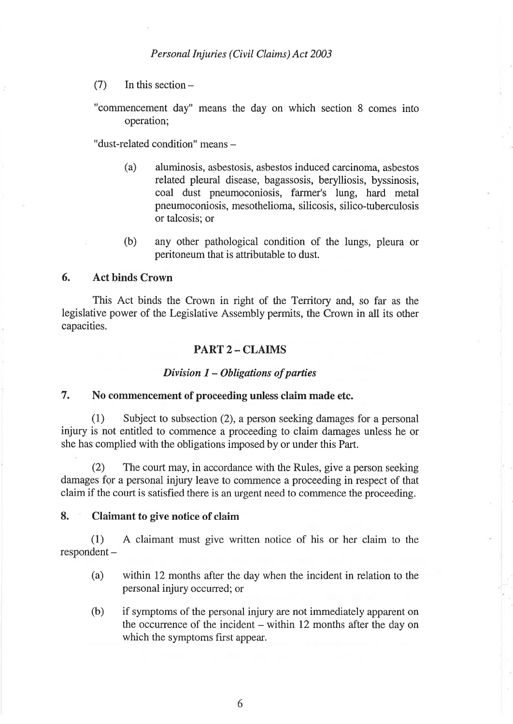- $(7)$  In this section  $-$
- "commencement day" means the day on which section 8 comes into operation;

"dust-related condition" means -

- (a) aluminosis, asbestosis, asbestos induced carcinoma, asbestos related pleural disease, bagassosis, berylliosis, byssinosis, coal dust pneumoconiosis, farmer's lung, hard metal pneumoconiosis, mesothelioma, silicosis, silico-tuberculosis or talcosis; or
- (b) any other pathological condition of the lungs, pleura or peritoneum that is attributable to dust.

# 6. Act binds Crown

This Act binds the Crown in right of the Territory and, so far as the legislative power of the Legislative Assembly permits, the Crown in all its other capacities.

# PART 2 - CLAIMS

# Division  $1 - Obligations$  of parties

# 7. No commencement of proceeding unless claim made etc.

(1) Subject to subsection (2), a person seeking damages for a personal injury is not entitled to commence a proceeding to claim damages unless he or she has complied with the obligations imposed by or under this Part.

(2) The court may, in accordance with the Rules, give a person seeking damages for a personal injury leave to commence a proceeding in respect of that claim if the court is satisfied there is an urgent need to commence the proceeding.

# 8. Claimant to give notice of claim

(1) A claimant must give written notice of his or her claim to the respondent -

- (a) within 12 months after the day when the incident in relation to the personal injury occurred; or
- $(b)$  if symptoms of the personal injury are not immediately apparent on the occurrence of the incident – within 12 months after the day on which the symptoms first appear.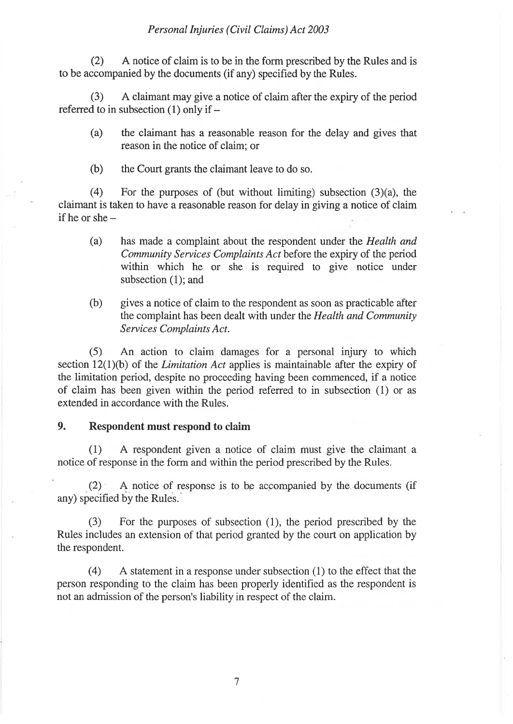(2) <sup>A</sup>notice of claim is to be in the form prescribed by the Rules and is to be accompanied by the documents (if any) specified by the Rules.

(3) A claimant may give a notice of claim after the expiry of the period referred to in subsection (1) only if  $-$ 

- (a) the claimant has a reasonable reason for the delay and gives that reason in the notice of claim; or
- (b) the Court grants the claimant leave to do so.

(4) For the purposes of (but without limiting) subsection  $(3)(a)$ , the claimant is taken to have a reasonable reason for delay in giving a notice of claim if he or she $-$ 

- (a) has made a complaint about the respondent under the Health and Community Services Complaints Act before the expiry of the period within which he or she is required to give notice under subsection (1); and
- (b) gives a notice of claim to the respondent as soon as practicable after the complaint has been dealt with under the Health and Community Services Complaints Act.

(5) An action to claim damages for a personal injury to which section  $12(1)(b)$  of the *Limitation Act* applies is maintainable after the expiry of the limitation period, despite no proceeding having been commenced, if a notice of claim has been given within the period referred to in subsection (1) or as extended in accordance with the Rules.

# 9. Respondent must respond to claim

(1) A respondent given a notice of claim must give the claimant <sup>a</sup> notice of response in the form and within the period prescribed by the Rules.

 $(2)$  A notice of response is to be accompanied by the documents (if any) specified by the Rules.

(3) For the purposes of subsection (1), the period prescribed by the Rules includes an extension of that period granted by the court on application by the respondent.

(4) <sup>A</sup>statement in a response under subsection (1) to the effect that the person responding to the claim has been properly identified as the respondent is not an admission of the person's liability in respect of the claim.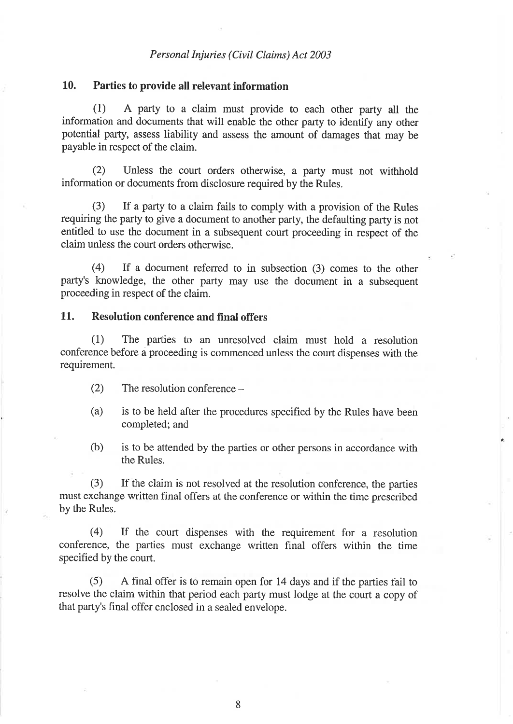# 10. Parties to provide all relevant information

(l) A party to a claim must provide to each other party all the information and documents that will enable the other party to identify any other potential party, assess liability and assess the amount of damages that may be payable in respect of the claim.

(2) Unless the court orders otherwise, a party must not withhold information or documents from disclosure required by the Rules.

(3) If a party to a claim fails to comply with a provision of the Rules requiring the party to give a document to another party, the defaulting party is not entitled to use the document in a subsequent court proceeding in respect of the claim unless the court orders otherwise.

(4) If a document refened to in subsection (3) comes to the other party's knowledge, the other party may use the document in a subsequent proceeding in respect of the claim.

# 11. Resolution conference and final offers

(1) The parties to an unresolved claim must hold a resolution conference before á proceeding is commenced unless the court dispenses with the requirement.

- (2) The resolution conference  $-$
- (a) is to be held after the procedures specified by the Rules have been completed; and
- (b) is to be attended by the parties or other persons in accordance with the Rules.

(3) If the claim is not resolved at the resolution conference, the parties must exchange written final offers at the conference or within the time prescribed by the Rules.

(4) If the court dispenses with the requirement for a resolution conference, the parties must exchange written final offers within the time specified by the court.

(5) A final offer is to remain open for 14 days and if the parties fail to resolve the claim within that period each party must lodge at the court a copy of that party's final offer enclosed in a sealed envelope.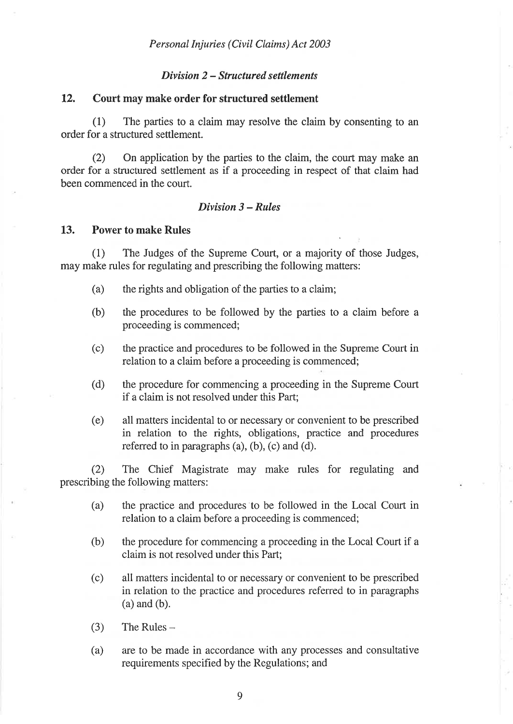# Dívísion 2 - Structured settlements

# 12. Court may make order for structured settlement

(1) The parties to a claim may resolve the claim by consenting to an order for a structured settlement.

(2) On application by the parties to the claim, the court may make an order for a structured settlement as if a proceeding in respect of that claim had been commenced in the court.

# Dívisíon 3 - Rules

# 13. Power to make Rules

(1) The Judges of the Supreme Court, or a majority of those Judges, may make rules for regulating and prescribing the following matters:

- (a) the rights and obligation of the parties to a claim;
- (b) the procedures to be followed by the parties to a claim before <sup>a</sup> proceeding is commenced;
- (c) the practice and procedures to be followed in the Supreme Court in relation to a claim before a proceeding is commenced;
- (d) the procedure for commencing a proceeding in the Supreme Court if a claim is not resolved under this Part;
- (e) all matters incidental to or necessary or convenient to be prescribed in relation to the rights, obligations, practice and procedures referred to in paragraphs  $(a)$ ,  $(b)$ ,  $(c)$  and  $(d)$ .

(2) The Chief Magistrate may make rules for regulating and prescribing the following matters:

- (a) the practice and procedures to be followed in the Local Court in relation to a claim before a proceeding is commenced;
- (b) the procedure for commencing a proceeding in the Local Court if <sup>a</sup> claim is not resolved under this Part;
- (c) all matters incidental to or necessary or convenient to be prescribed in relation to the practice and procedures referred to in paragraphs (a) and (b).
- $(3)$  The Rules –
- (a) are to be made in accordance with any processes and consultative requirements specified by the Regulations; and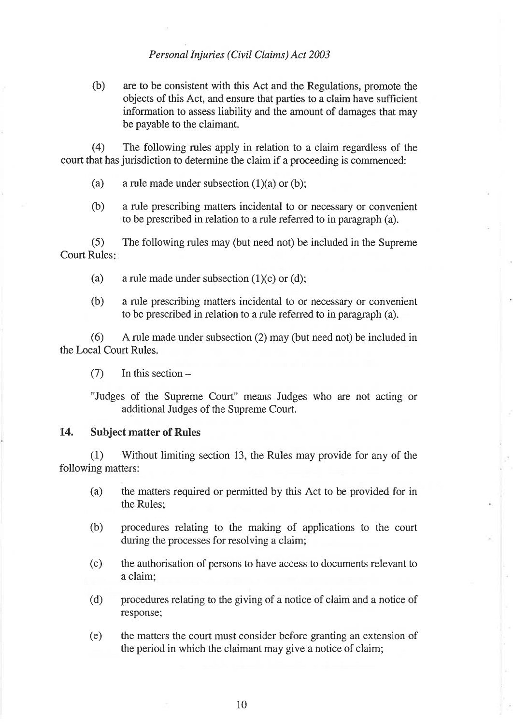(b) are to be consistent with this Act and the Regulations, promote the objects of this Act, and ensure that parties to a claim have sufficient information to assess liability and the amount of damages that may be payable to the claimant.

(4) The following rules apply in relation to a claim regardless of the court that has jurisdiction to determine the claim if a proceeding is commenced:

- (a) a rule made under subsection (1)(a) or (b);
- (b) a rule prescribing matters incidental to or necessary or convenient to be prescribed in relation to a rule referred to in paragraph (a).

 $(5)$ Court Rules The following rules may (but need not) be included in the Supreme

- (a) a rule made under subsection (1)(c) or (d);
- (b) a rule prescribing matters incidental to or necessary or convenient to be prescribed in relation to a rule referred to in paragraph (a).

(6) <sup>A</sup>rule made under subsection (2) may (but need not) be included in the Local Court Rules.

 $(7)$  In this section  $-$ 

"Judges of the Supreme Court" means Judges who are not acting or additional Judges of the Supreme Court.

# 14. Subject matter of Rules

(1) 'Without limiting section 13, the Rules may provide for any of the following matters:

- (a) the matters required or permitted by this Act to be provided for in the Rules;
- (b) procedures relating to the making of applications to the court during the processes for resolving a claim;
- (c) the authorisation of persons to have access to documents relevant to a claim;
- (d) procedures relating to the giving of a notice of claim and a notice of response;
- (e) the matters the court must consider before granting an extension of the period in which the claimant may give a notice of claim;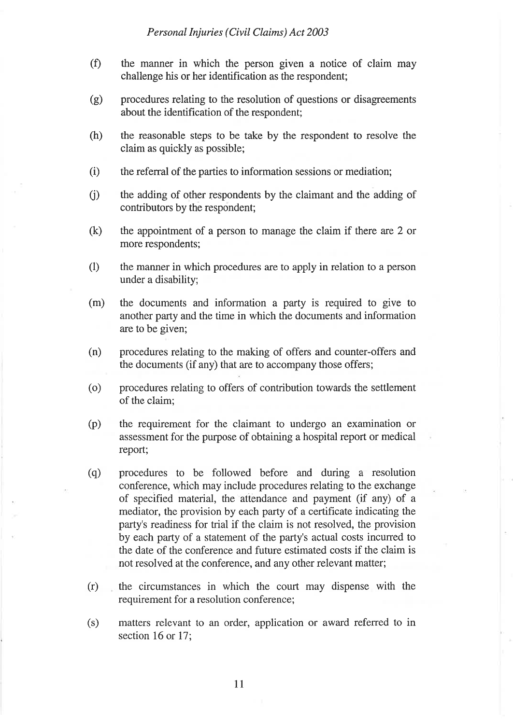- (Ð the manner in which the person given a notice of claim may challenge his or her identification as the respondent;
- (g) procedures relating to the resolution of questions or disagreements about the identification of the respondent;
- (h) the reasonable steps to be take by the respondent to resolve the claim as quickly as possible;
- $(i)$  the referral of the parties to information sessions or mediation;
- (i) the adding of other respondents by the claimant and the adding of contributors by the respondent;
- (k) the appointment of a person to manage the claim if there are 2 or more respondents;
- (l) the manner in which procedures are to apply in relation to a person under a disability;
- (m) the documents and information a party is required to give to another party and the time in which the documents and information are to be given;
- (n) procedures relating to the making of offers and counter-offers and the documents (if any) that are to accompany those offers;
- (o) procedures relating to offers of contribution towards the settlement of the claim;
- (p) the requirement for the claimant to undergo an examination or assessment for the purpose of obtaining a hospital report or medical report;
- (q) procedures to be followed before and during a resolution conference, which may include procedures relating to the exchange of specified material, the attendance and payment (if any) of <sup>a</sup> mediator, the provision by each party of a certificate indicating the party's readiness for trial if the claim is not resolved, the provision by each party of a statement of the party's actual costs incuned to the date of the conference and future estimated costs if the claim is not resolved at the conference, and any other relevant matter;
- (r) the circumstances in which the court may dispense with the requirement for a resolution conference;
- (s) matters relevant to an order, application or award referred to in section 16 or 17;

11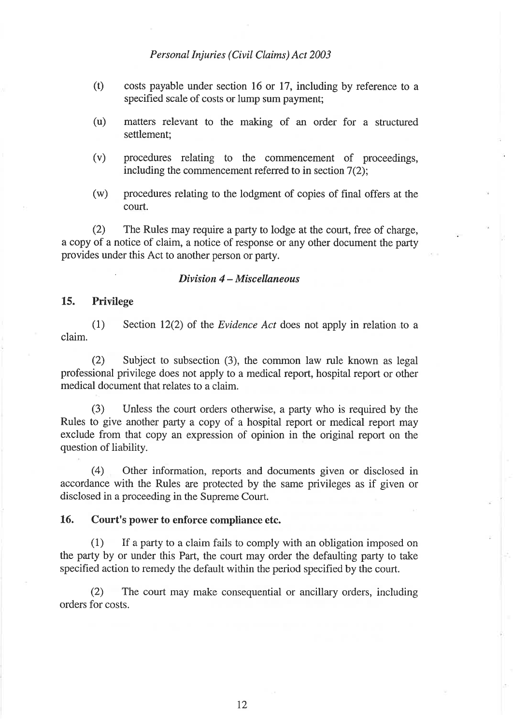- (t) costs payable under section 16 or 17, including by reference to <sup>a</sup> specified scale of costs or lump sum payment;
- (u) matters relevant to the making of an order for a structured settlement;
- (v) procedures relating to the commencement of proceedings, including the commencement referred to in section 7(2);
- (w) procedures relating to the lodgment of copies of final offers at the court.

(2) The Rules may require a party to lodge at the court, free of charge, a copy of a notice of claim, a notice of response or any other document the party provides under this Act to another person or party.

#### $Division$  4 - Miscellaneous

# 15. Privilege

(1) Section I2(2) of the Evidence Act does not apply in relation to <sup>a</sup> claim.

(2) Subject to subsection  $(3)$ , the common law rule known as legal professional privilege does not apply to a medical report, hospital report or other medical document that relates to a claim.

(3) Unless the court orders otherwise, a party who is required by the Rules to give another party a copy of a hospital report or medical report may exclude from that copy an expression of opinion in the original report on the question of liability.

(4) Other information, reports and documents given or disclosed in accordance with the Rules are protected by the same privileges as if given or disclosed in a proceeding in the Supreme Court.

# 16. Court's power to enforce compliance etc.

(1) If a party to a claim fails to comply with an obligation imposed on the party by or under this Part, the court may order the defaulting party to take specified action to remedy the default within the period specified by the court.

(2) The court may make consequential or ancillary orders, including orders for costs.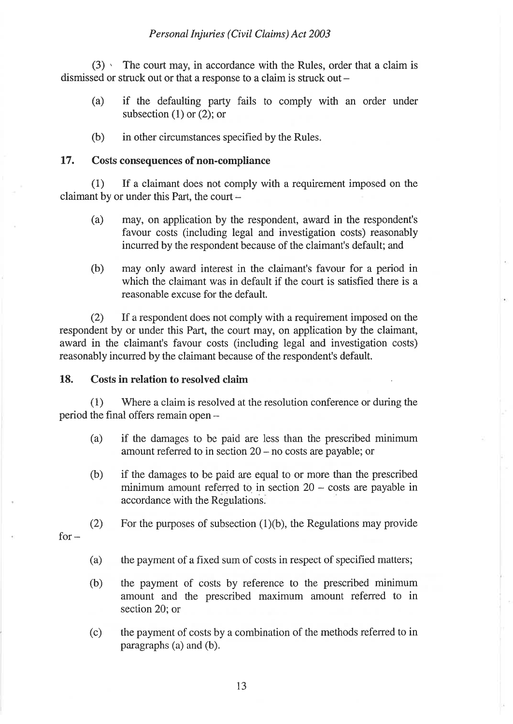$(3)$  ' The court may, in accordance with the Rules, order that a claim is dismissed or struck out or that a response to a claim is struck out  $-$ 

- (a) if the defaulting party fails to comply with an order under subsection  $(1)$  or  $(2)$ ; or
- (b) in other circumstances specified by the Rules.

# 17. Costs consequences of non-compliance

(1) If a claimant does not comply with a requirement imposed on the claimant by or under this Part, the court

- (a) may, on application by the respondent, award in the respondent's favour costs (including legal and investigation costs) reasonably incurred by the respondent because of the claimant's default; and
- (b) may only award interest in the claimant's favour for a period in which the claimant was in default if the court is satisfied there is a reasonable excuse for the default.

(2) If a respondent does not comply with a requirement imposed on the respondent by or under this Part, the court may, on application by the claimant, award in the claimant's favour costs (including legal and investigation costs) reasonably incurred by the claimant because of the respondent's default.

# 18. Costs in relation to resolved claim

(1) Where a claim is resolved at the resolution conference or during the period the final offers remain open  $-$ 

- (a) if the damages to be paid are less than the prescribed minimum amount referred to in section  $20 - no \, \text{costs}$  are payable; or
- (b) if the damages to be paid are equal to or more than the prescribed minimum amount referred to in section  $20 - \text{costs}$  are payable in accordance with the Regulations.

(2) For the purposes of subsection (1)(b), the Regulations may provide

 $for -$ 

- (a) the payment of a fixed sum of costs in respect of specified matters;
- (b) the payment of costs by reference to the prescribed minimum amount and the prescribed maximum amount referred to in section 20; or
- (c) the payment of costs by a combination of the methods referred to in paragraphs (a) and (b).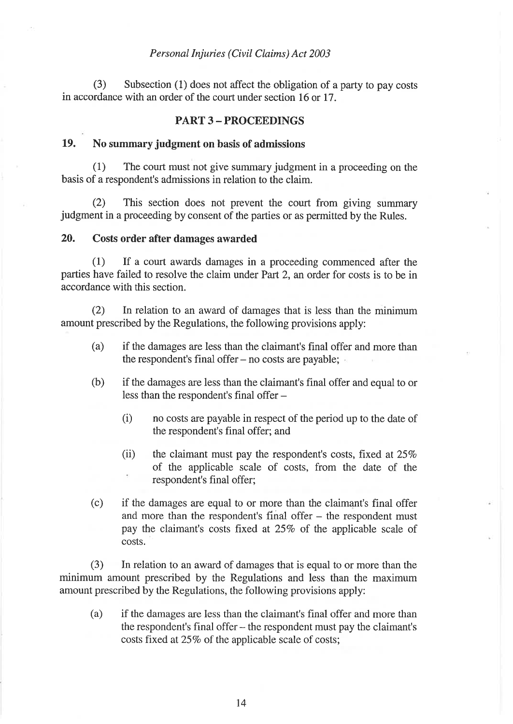(3) Subsection (1) does not affect the obligation of a party to pay costs in accordance with an order of the court under section 16 or 17.

# PART 3 - PROCEEDINGS

# 19. No summary judgment on basis of admissions

(1) The court must not give summary judgment in a proceeding on the basis of a respondent's admissions in relation to the claim.

(2) This section does not prevent the court from giving summary judgment in a proceeding by consent of the parties or as permitted by the Rules.

# 20. Costs order after damages awarded

(1) If a court awards damages in a proceeding commenced after the parties have failed to resolve the claim under Part 2, an order for costs is to be in accordance with this section.

(2) In relation to an award of damages that is less than the minimum amount prescribed by the Regulations, the following provisions apply:

- (a) if the damages are less than the claimant's final offer and more than the respondent's final offer  $-$  no costs are payable;
- (b) if the damages are less than the claimant's final offer and equal to or less than the respondent's final offer -
	- (i) no costs are payable in respect of the period up to the date of the respondent's final offer; and
	- (ii) the claimant must pay the respondent's costs, fixed at  $25\%$ of the applicable scale of costs, from the date of the respondent's final offer;
- (c) if the damages are equal to or more than the claimant's final offer and more than the respondent's final offer  $-$  the respondent must pay the claimant's costs fixed at 25% of the applicable scale of costs.

(3) In relation to an award of damages that is equal to or more than the minimum amount prescribed by the Regulations and less than the maximum amount prescribed by the Regulations, the following provisions apply:

(a) if the damages are less than the claimant's final offer and more than the respondent's final offer - the respondent must pay the claimant's costs fixed at 25% of the applicable scale of costs;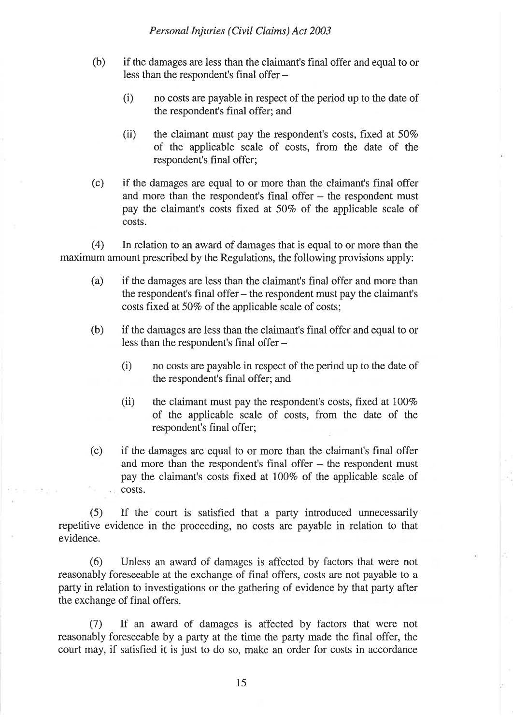- (b) if the damages are less than the claimant's final offer and equal to or less than the respondent's final offer -
	- $(i)$  no costs are payable in respect of the period up to the date of the respondent's final offer; and
	- (ii) the claimant must pay the respondent's costs, fixed at  $50\%$ the claimant must pay the respondent's costs, fixed at 50%<br>of the applicable scale of costs, from the date of the respondent's final offer;
- (c) if the damages are equal to or more than the claimant's final offer and more than the respondent's final offer  $-$  the respondent must pay the claimant's costs fixed at 50% of the applicable scale of costs.

(4) In relation to an award of damages that is equal to or more than the maximum amount prescribed by the Regulations, the following provisions apply:

- (a) if the damages are less than the claimant's final offer and more than the respondent's final offer – the respondent must pay the claimant's costs fixed at 50% of the applicable scale of costs;
- (b) if the damages are less than the claimant's final offer and equal to or less than the respondent's final offer -
	- $(i)$  no costs are payable in respect of the period up to the date of the respondent's final offer; and
	- (ii) the claimant must pay the respondent's costs, fixed at  $100\%$ of the applicable scale of costs, from the date of the respondent's final offer;
- (c) if the damages are equal to or more than the claimant's final offer and more than the respondent's final offer – the respondent must pay the claimant's costs fixed at 1007o of the applicable scale of . costs.

(5) If the court is satisfied that a party introduced unnecessarily repetitive evidence in the proceeding, no costs are payable in relation to that evidence.

(6) Unless an award of damages is affected by factors that were not reasonably foreseeable at the exchange of final offers, costs are not payable to a party in relation to investigations or the gathering of evidence by that party after the exchange of final offers.

(7) If an award of damages is affected by factors that were not reasonably foreseeable by a party at the time the party made the final offer, the court may, if satisfied it is just to do so, make an order for costs in accordance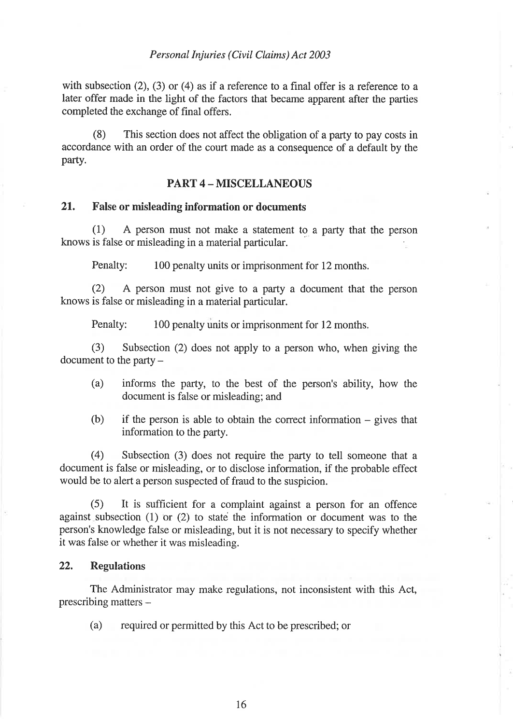with subsection  $(2)$ ,  $(3)$  or  $(4)$  as if a reference to a final offer is a reference to a later offer made in the light of the factors that became apparent after the parties completed the exchange of final offers.

(8) This section does not affect the obligation of a party to pay costs in accordance with an order of the court made as a consequence of a default by the party.

# PART 4 - MISCELLANEOUS

# 21. False or misleading information or documents

(1) A person must not make a statement to a party that the person knows is false or misleading in a material particular

Penalty: 100 penalty units or imprisonment for 12 months.

 $(2)$  A person must not give to a party a document that the person knows is false or misleading in a material particular.

Penalty: 100 penalty units or imprisonment for 12 months.

(3) Subsection (2) does not apply to a person who, when giving the document to the party  $-$ 

- (a) informs the party, to the best of the person's ability, how the document is false or misleading; and
- $(b)$  if the person is able to obtain the correct information gives that information to the party.

(4) Subsection (3) does not require the party to tell someone that <sup>a</sup> document is false or misleading, or to disclose information, if the probable effect would be to alert a person suspected of fraud to the suspicion.

(5) It is sufhcient for a complaint against a person for an offence against subsection (1) or (2) to state the information or document was to the person's knowledge false or misleading, but it is not necessary to specify whether it was false or whether it was misleading.

# 22. Regulations

The Administrator may make regulations, not inconsistent with this Act, prescribing matters -

(a) required or permitted by this Act to be prescribed; or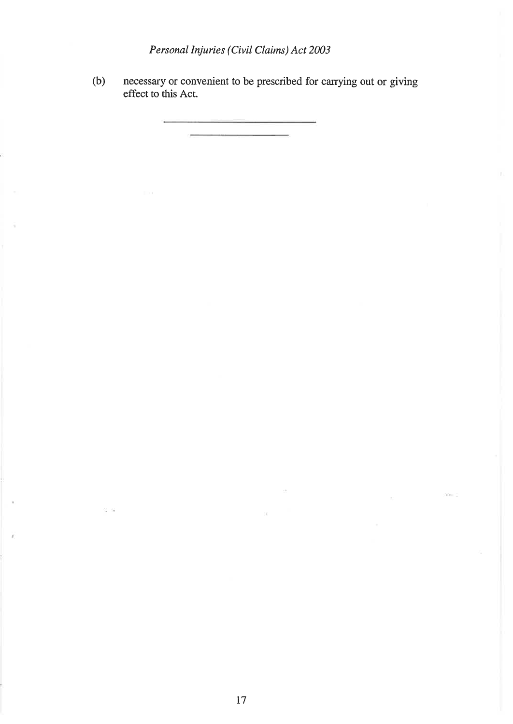(b) necessary or convenient to be prescribed for carrying out or giving effect to this Act.

 $\overline{1}$